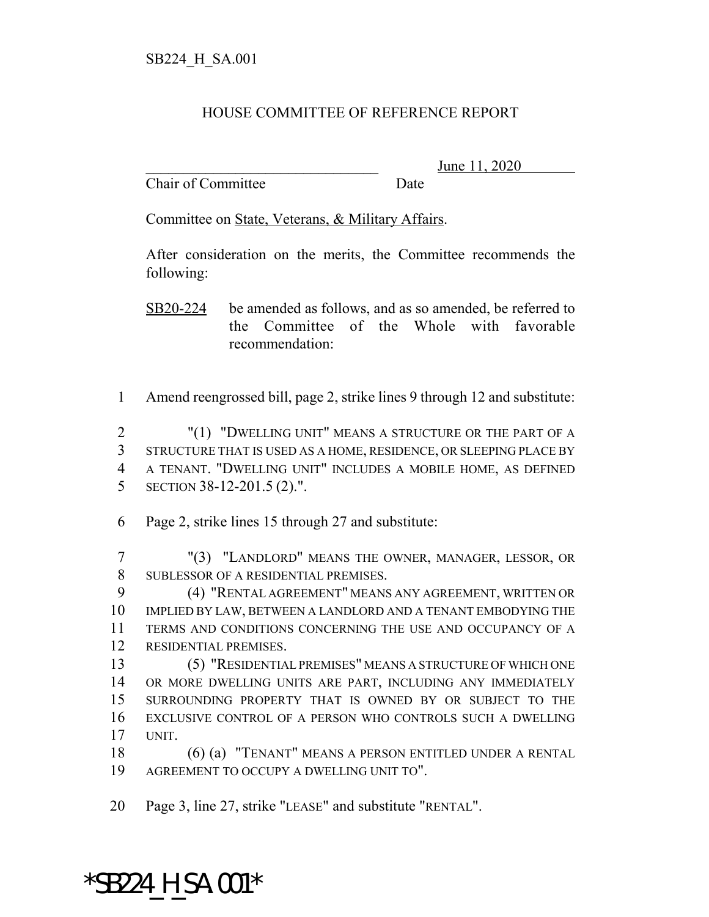## HOUSE COMMITTEE OF REFERENCE REPORT

Chair of Committee Date

\_\_\_\_\_\_\_\_\_\_\_\_\_\_\_\_\_\_\_\_\_\_\_\_\_\_\_\_\_\_\_ June 11, 2020

Committee on State, Veterans, & Military Affairs.

After consideration on the merits, the Committee recommends the following:

SB20-224 be amended as follows, and as so amended, be referred to the Committee of the Whole with favorable recommendation:

Amend reengrossed bill, page 2, strike lines 9 through 12 and substitute:

 "(1) "DWELLING UNIT" MEANS A STRUCTURE OR THE PART OF A STRUCTURE THAT IS USED AS A HOME, RESIDENCE, OR SLEEPING PLACE BY A TENANT. "DWELLING UNIT" INCLUDES A MOBILE HOME, AS DEFINED SECTION 38-12-201.5 (2).".

Page 2, strike lines 15 through 27 and substitute:

 "(3) "LANDLORD" MEANS THE OWNER, MANAGER, LESSOR, OR SUBLESSOR OF A RESIDENTIAL PREMISES.

 (4) "RENTAL AGREEMENT" MEANS ANY AGREEMENT, WRITTEN OR IMPLIED BY LAW, BETWEEN A LANDLORD AND A TENANT EMBODYING THE TERMS AND CONDITIONS CONCERNING THE USE AND OCCUPANCY OF A RESIDENTIAL PREMISES.

 (5) "RESIDENTIAL PREMISES" MEANS A STRUCTURE OF WHICH ONE OR MORE DWELLING UNITS ARE PART, INCLUDING ANY IMMEDIATELY SURROUNDING PROPERTY THAT IS OWNED BY OR SUBJECT TO THE EXCLUSIVE CONTROL OF A PERSON WHO CONTROLS SUCH A DWELLING UNIT.

 (6) (a) "TENANT" MEANS A PERSON ENTITLED UNDER A RENTAL AGREEMENT TO OCCUPY A DWELLING UNIT TO".

Page 3, line 27, strike "LEASE" and substitute "RENTAL".

## $*$ SB224 H SA.001 $*$